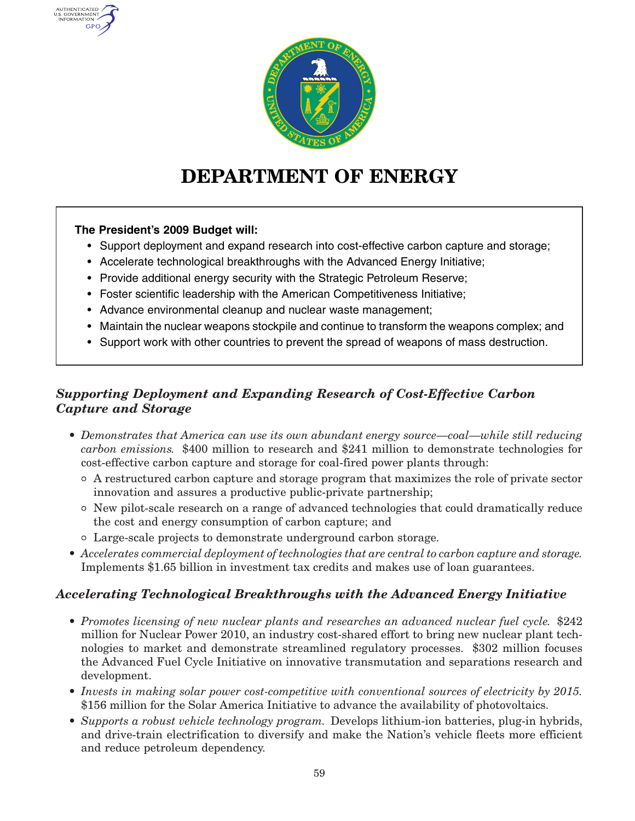

# **DEPARTMENT OF ENERGY**

#### **The President's 2009 Budget will:**

AUTHENTICATED U.S. GOVERNMENT **GPO** 

- Support deployment and expand research into cost-effective carbon capture and storage;
- Accelerate technological breakthroughs with the Advanced Energy Initiative;
- Provide additional energy security with the Strategic Petroleum Reserve;
- Foster scientific leadership with the American Competitiveness Initiative;
- Advance environmental cleanup and nuclear waste management;
- Maintain the nuclear weapons stockpile and continue to transform the weapons complex; and
- Support work with other countries to prevent the spread of weapons of mass destruction.

# *Supporting Deployment and Expanding Research of Cost-Effective Carbon Capture and Storage*

- *Demonstrates that America can use its own abundant energy source—coal—while still reducing carbon emissions.* \$400 million to research and \$241 million to demonstrate technologies for cost-effective carbon capture and storage for coal-fired power plants through:
	- ° A restructured carbon capture and storage program that maximizes the role of private sector innovation and assures <sup>a</sup> productive public-private partnership;
	- ° New pilot-scale research on <sup>a</sup> range of advanced technologies that could dramatically reduce the cost and energy consumption of carbon capture; and
	- ° Large-scale projects to demonstrate underground carbon storage.
- *Accelerates commercial deployment of technologies that are central to carbon capture and storage.* Implements \$1.65 billion in investment tax credits and makes use of loan guarantees.

# *Accelerating Technological Breakthroughs with the Advanced Energy Initiative*

- *Promotes licensing of new nuclear plants and researches an advanced nuclear fuel cycle.* \$242 million for Nuclear Power 2010, an industry cost-shared effort to bring new nuclear plant technologies to market and demonstrate streamlined regulatory processes. \$302 million focuses the Advanced Fuel Cycle Initiative on innovative transmutation and separations research and development.
- *Invests in making solar power cost-competitive with conventional sources of electricity by 2015.* \$156 million for the Solar America Initiative to advance the availability of photovoltaics.
- *Supports <sup>a</sup> robust vehicle technology program.* Develops lithium-ion batteries, plug-in hybrids, and drive-train electrification to diversify and make the Nation's vehicle fleets more efficient and reduce petroleum dependency.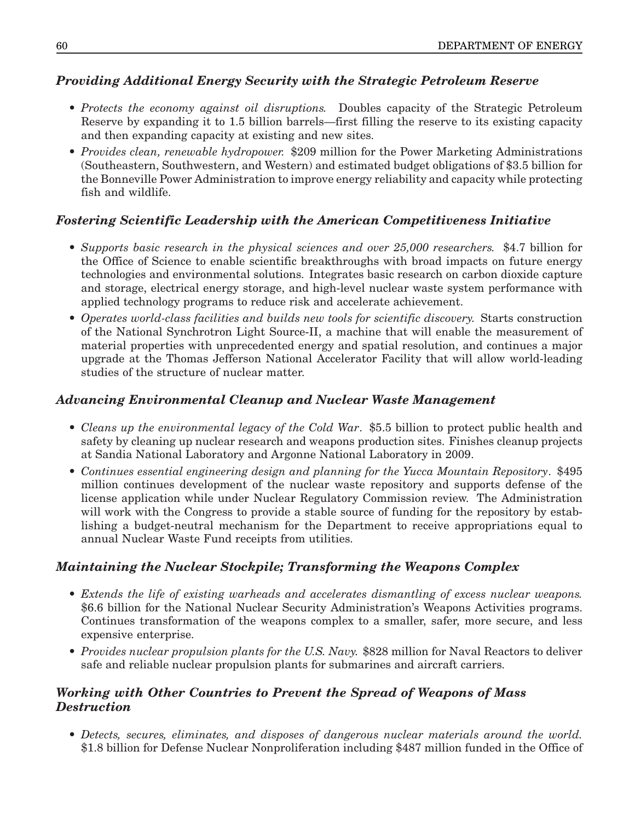## *Providing Additional Energy Security with the Strategic Petroleum Reserve*

- *Protects the economy against oil disruptions.* Doubles capacity of the Strategic Petroleum Reserve by expanding it to 1.5 billion barrels—first filling the reserve to its existing capacity and then expanding capacity at existing and new sites.
- *Provides clean, renewable hydropower.* \$209 million for the Power Marketing Administrations (Southeastern, Southwestern, and Western) and estimated budget obligations of \$3.5 billion for the Bonneville Power Administration to improve energy reliability and capacity while protecting fish and wildlife.

## *Fostering Scientific Leadership with the American Competitiveness Initiative*

- *Supports basic research in the physical sciences and over 25,000 researchers.* \$4.7 billion for the Office of Science to enable scientific breakthroughs with broad impacts on future energy technologies and environmental solutions. Integrates basic research on carbon dioxide capture and storage, electrical energy storage, and high-level nuclear waste system performance with applied technology programs to reduce risk and accelerate achievement.
- *Operates world-class facilities and builds new tools for scientific discovery.* Starts construction of the National Synchrotron Light Source-II, <sup>a</sup> machine that will enable the measurement of material properties with unprecedented energy and spatial resolution, and continues <sup>a</sup> major upgrade at the Thomas Jefferson National Accelerator Facility that will allow world-leading studies of the structure of nuclear matter.

#### *Advancing Environmental Cleanup and Nuclear Waste Management*

- *Cleans up the environmental legacy of the Cold War*. \$5.5 billion to protect public health and safety by cleaning up nuclear research and weapons production sites. Finishes cleanup projects at Sandia National Laboratory and Argonne National Laboratory in 2009.
- *Continues essential engineering design and planning for the Yucca Mountain Repository*. \$495 million continues development of the nuclear waste repository and supports defense of the license application while under Nuclear Regulatory Commission review. The Administration will work with the Congress to provide a stable source of funding for the repository by establishing <sup>a</sup> budget-neutral mechanism for the Department to receive appropriations equal to annual Nuclear Waste Fund receipts from utilities.

#### *Maintaining the Nuclear Stockpile; Transforming the Weapons Complex*

- *Extends the life of existing warheads and accelerates dismantling of excess nuclear weapons.* \$6.6 billion for the National Nuclear Security Administration's Weapons Activities programs. Continues transformation of the weapons complex to <sup>a</sup> smaller, safer, more secure, and less expensive enterprise.
- *Provides nuclear propulsion plants for the U.S. Navy.* \$828 million for Naval Reactors to deliver safe and reliable nuclear propulsion plants for submarines and aircraft carriers.

## *Working with Other Countries to Prevent the Spread of Weapons of Mass Destruction*

• *Detects, secures, eliminates, and disposes of dangerous nuclear materials around the world.* \$1.8 billion for Defense Nuclear Nonproliferation including \$487 million funded in the Office of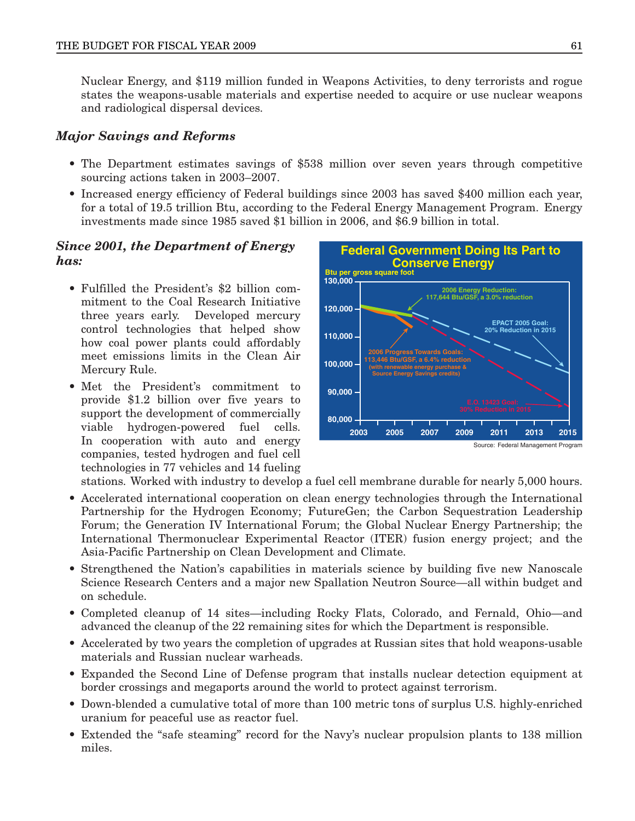Nuclear Energy, and \$119 million funded in Weapons Activities, to deny terrorists and rogue states the weapons-usable materials and expertise needed to acquire or use nuclear weapons and radiological dispersal devices.

#### *Major Savings and Reforms*

- The Department estimates savings of \$538 million over seven years through competitive sourcing actions taken in 2003–2007.
- Increased energy efficiency of Federal buildings since 2003 has saved \$400 million each year, for <sup>a</sup> total of 19.5 trillion Btu, according to the Federal Energy Management Program. Energy investments made since 1985 saved \$1 billion in 2006, and \$6.9 billion in total.

#### *Since 2001, the Department of Energy has:*

- Fulfilled the President's \$2 billion commitment to the Coal Research Initiative three years early. Developed mercury control technologies that helped show how coal power plants could affordably meet emissions limits in the Clean Air Mercury Rule.
- Met the President's commitment to provide \$1.2 billion over five years to support the development of commercially viable hydrogen-powered fuel cells. In cooperation with auto and energy companies, tested hydrogen and fuel cell technologies in 77 vehicles and 14 fueling



stations. Worked with industry to develop <sup>a</sup> fuel cell membrane durable for nearly 5,000 hours.

- Accelerated international cooperation on clean energy technologies through the International Partnership for the Hydrogen Economy; FutureGen; the Carbon Sequestration Leadership Forum; the Generation IV International Forum; the Global Nuclear Energy Partnership; the International Thermonuclear Experimental Reactor (ITER) fusion energy project; and the Asia-Pacific Partnership on Clean Development and Climate.
- Strengthened the Nation's capabilities in materials science by building five new Nanoscale Science Research Centers and <sup>a</sup> major new Spallation Neutron Source—all within budget and on schedule.
- Completed cleanup of 14 sites—including Rocky Flats, Colorado, and Fernald, Ohio—and advanced the cleanup of the 22 remaining sites for which the Department is responsible.
- Accelerated by two years the completion of upgrades at Russian sites that hold weapons-usable materials and Russian nuclear warheads.
- Expanded the Second Line of Defense program that installs nuclear detection equipment at border crossings and megaports around the world to protect against terrorism.
- Down-blended <sup>a</sup> cumulative total of more than 100 metric tons of surplus U.S. highly-enriched uranium for peaceful use as reactor fuel.
- Extended the "safe steaming" record for the Navy's nuclear propulsion plants to 138 million miles.